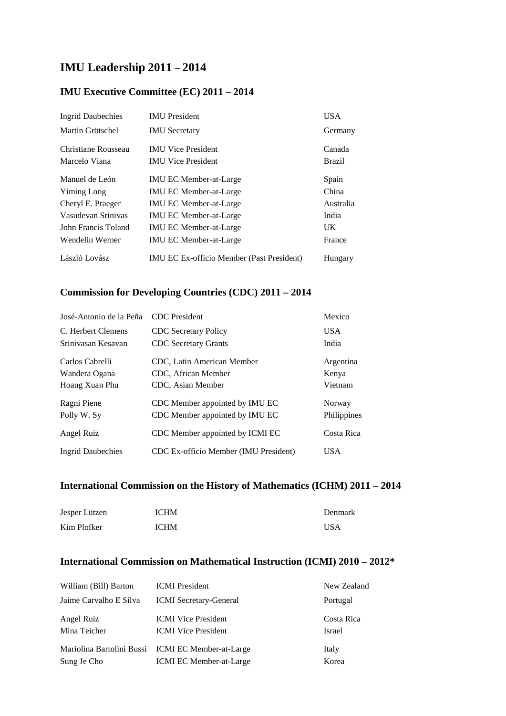# **IMU Leadership 2011 – 2014**

#### **IMU Executive Committee (EC) 2011 – 2014**

| <b>Ingrid Daubechies</b> | <b>IMU</b> President                             | <b>USA</b>    |
|--------------------------|--------------------------------------------------|---------------|
| Martin Grötschel         | <b>IMU</b> Secretary                             | Germany       |
| Christiane Rousseau      | <b>IMU Vice President</b>                        | Canada        |
| Marcelo Viana            | <b>IMU Vice President</b>                        | <b>Brazil</b> |
| Manuel de León           | <b>IMU EC Member-at-Large</b>                    | Spain         |
| Yiming Long              | <b>IMU EC Member-at-Large</b>                    | China         |
| Cheryl E. Praeger        | <b>IMU EC Member-at-Large</b>                    | Australia     |
| Vasudevan Srinivas       | <b>IMU EC Member-at-Large</b>                    | India         |
| John Francis Toland      | <b>IMU EC Member-at-Large</b>                    | UK.           |
| Wendelin Werner          | <b>IMU EC Member-at-Large</b>                    | France        |
| László Lovász            | <b>IMU EC Ex-officio Member (Past President)</b> | Hungary       |

#### **Commission for Developing Countries (CDC) 2011 – 2014**

| José-Antonio de la Peña  | <b>CDC</b> President                  | Mexico      |
|--------------------------|---------------------------------------|-------------|
| C. Herbert Clemens       | <b>CDC</b> Secretary Policy           | USA.        |
| Sriniyasan Kesayan       | <b>CDC</b> Secretary Grants           | India       |
| Carlos Cabrelli          | CDC, Latin American Member            | Argentina   |
| Wandera Ogana            | CDC, African Member                   | Kenya       |
| Hoang Xuan Phu           | CDC. Asian Member                     | Vietnam     |
| Ragni Piene              | CDC Member appointed by IMU EC        | Norway      |
| Polly W. Sv              | CDC Member appointed by IMU EC        | Philippines |
| Angel Ruiz               | CDC Member appointed by ICMI EC       | Costa Rica  |
| <b>Ingrid Daubechies</b> | CDC Ex-officio Member (IMU President) | <b>USA</b>  |

## **International Commission on the History of Mathematics (ICHM) 2011 – 2014**

| Jesper Lützen | <b>ICHM</b> | Denmark    |
|---------------|-------------|------------|
| Kim Plofker   | <b>ICHM</b> | <b>USA</b> |

## **International Commission on Mathematical Instruction (ICMI) 2010 – 2012\***

| William (Bill) Barton      | <b>ICMI</b> President                                    | New Zealand          |
|----------------------------|----------------------------------------------------------|----------------------|
| Jaime Carvalho E Silva     | <b>ICMI</b> Secretary-General                            | Portugal             |
| Angel Ruiz<br>Mina Teicher | <b>ICMI</b> Vice President<br><b>ICMI</b> Vice President | Costa Rica<br>Israel |
|                            | Mariolina Bartolini Bussi ICMI EC Member-at-Large        | Italy                |
| Sung Je Cho                | <b>ICMI EC Member-at-Large</b>                           | Korea                |